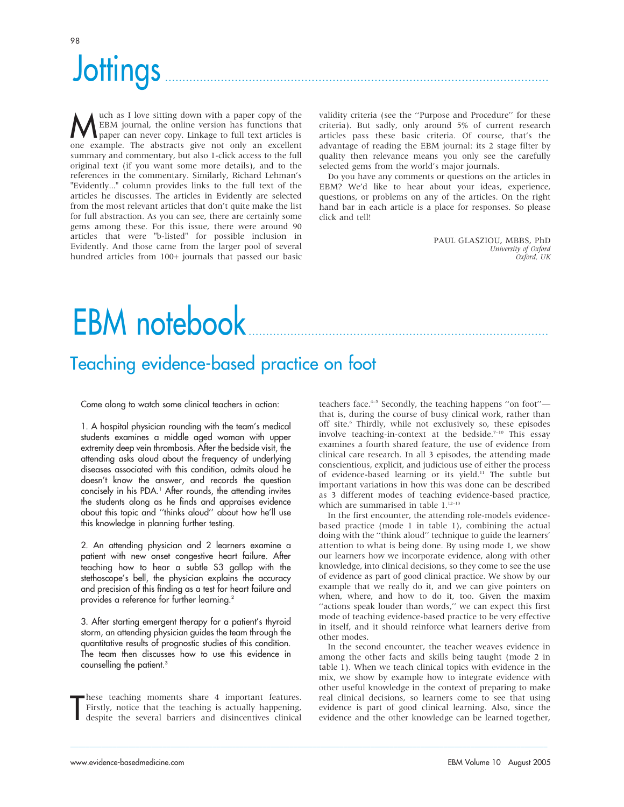# **Jottings**

We uch as I love sitting down with a paper copy of the<br>paper can never copy. Linkage to full text articles is<br>one example. The abstracts give not only an excellent EBM journal, the online version has functions that one example. The abstracts give not only an excellent summary and commentary, but also 1-click access to the full original text (if you want some more details), and to the references in the commentary. Similarly, Richard Lehman's "Evidently..." column provides links to the full text of the articles he discusses. The articles in Evidently are selected from the most relevant articles that don't quite make the list for full abstraction. As you can see, there are certainly some gems among these. For this issue, there were around 90 articles that were "b-listed" for possible inclusion in Evidently. And those came from the larger pool of several hundred articles from 100+ journals that passed our basic

validity criteria (see the ''Purpose and Procedure'' for these criteria). But sadly, only around 5% of current research articles pass these basic criteria. Of course, that's the advantage of reading the EBM journal: its 2 stage filter by quality then relevance means you only see the carefully selected gems from the world's major journals.

Do you have any comments or questions on the articles in EBM? We'd like to hear about your ideas, experience, questions, or problems on any of the articles. On the right hand bar in each article is a place for responses. So please click and tell!

> PAUL GLASZIOU, MBBS, PhD University of Oxford Oxford, UK

## EBM notebook

## Teaching evidence-based practice on foot

Come along to watch some clinical teachers in action:

1. A hospital physician rounding with the team's medical students examines a middle aged woman with upper extremity deep vein thrombosis. After the bedside visit, the attending asks aloud about the frequency of underlying diseases associated with this condition, admits aloud he doesn't know the answer, and records the question concisely in his PDA.<sup>1</sup> After rounds, the attending invites the students along as he finds and appraises evidence about this topic and ''thinks aloud'' about how he'll use this knowledge in planning further testing.

2. An attending physician and 2 learners examine a patient with new onset congestive heart failure. After teaching how to hear a subtle S3 gallop with the stethoscope's bell, the physician explains the accuracy and precision of this finding as a test for heart failure and provides a reference for further learning.<sup>2</sup>

3. After starting emergent therapy for a patient's thyroid storm, an attending physician guides the team through the quantitative results of prognostic studies of this condition. The team then discusses how to use this evidence in counselling the patient.3

T hese teaching moments share 4 important features. Firstly, notice that the teaching is actually happening, despite the several barriers and disincentives clinical

 $\_$  , and the state of the state of the state of the state of the state of the state of the state of the state of the state of the state of the state of the state of the state of the state of the state of the state of the

teachers face.<sup>4–5</sup> Secondly, the teaching happens "on foot" that is, during the course of busy clinical work, rather than off site.<sup>6</sup> Thirdly, while not exclusively so, these episodes involve teaching-in-context at the bedside.<sup>7-10</sup> This essay examines a fourth shared feature, the use of evidence from clinical care research. In all 3 episodes, the attending made conscientious, explicit, and judicious use of either the process of evidence-based learning or its yield.<sup>11</sup> The subtle but important variations in how this was done can be described as 3 different modes of teaching evidence-based practice, which are summarised in table  $1.^{12-13}$ 

In the first encounter, the attending role-models evidencebased practice (mode 1 in table 1), combining the actual doing with the ''think aloud'' technique to guide the learners' attention to what is being done. By using mode 1, we show our learners how we incorporate evidence, along with other knowledge, into clinical decisions, so they come to see the use of evidence as part of good clinical practice. We show by our example that we really do it, and we can give pointers on when, where, and how to do it, too. Given the maxim "actions speak louder than words," we can expect this first mode of teaching evidence-based practice to be very effective in itself, and it should reinforce what learners derive from other modes.

In the second encounter, the teacher weaves evidence in among the other facts and skills being taught (mode 2 in table 1). When we teach clinical topics with evidence in the mix, we show by example how to integrate evidence with other useful knowledge in the context of preparing to make real clinical decisions, so learners come to see that using evidence is part of good clinical learning. Also, since the evidence and the other knowledge can be learned together,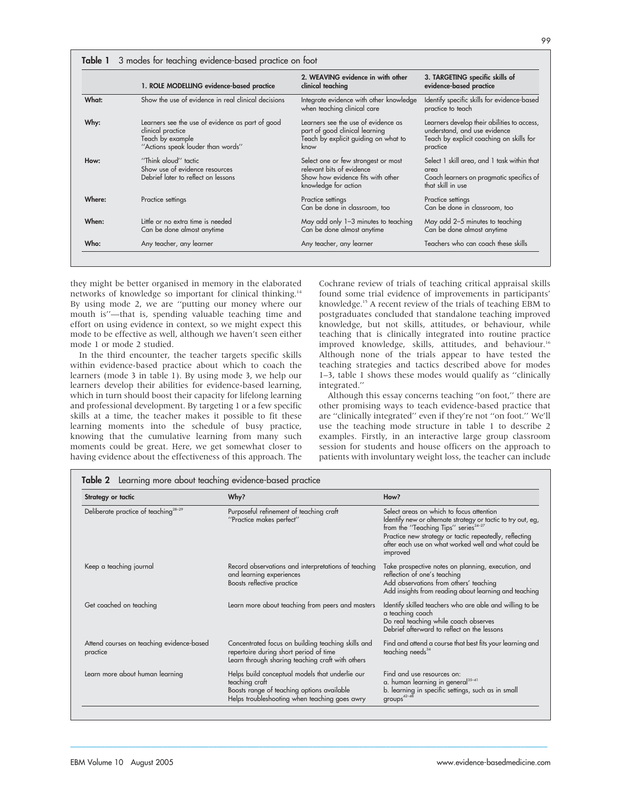|        | 1. ROLE MODELLING evidence-based practice                                                                                      | 2. WEAVING evidence in with other<br>clinical teaching                                                                        | 3. TARGETING specific skills of<br>evidence-based practice                                                                          |
|--------|--------------------------------------------------------------------------------------------------------------------------------|-------------------------------------------------------------------------------------------------------------------------------|-------------------------------------------------------------------------------------------------------------------------------------|
| What:  | Show the use of evidence in real clinical decisions                                                                            | Integrate evidence with other knowledge<br>when teaching clinical care                                                        | Identify specific skills for evidence-based<br>practice to teach                                                                    |
| Why:   | Learners see the use of evidence as part of good<br>clinical practice<br>Teach by example<br>"Actions speak louder than words" | Learners see the use of evidence as<br>part of good clinical learning<br>Teach by explicit guiding on what to<br>know         | Learners develop their abilities to access,<br>understand, and use evidence<br>Teach by explicit coaching on skills for<br>practice |
| How:   | "Think aloud" tactic<br>Show use of evidence resources<br>Debrief later to reflect on lessons                                  | Select one or few strongest or most<br>relevant bits of evidence<br>Show how evidence fits with other<br>knowledge for action | Select 1 skill area, and 1 task within that<br>area<br>Coach learners on pragmatic specifics of<br>that skill in use                |
| Where: | Practice settings                                                                                                              | Practice settings<br>Can be done in classroom, too                                                                            | Practice settings<br>Can be done in classroom, too                                                                                  |
| When:  | Little or no extra time is needed<br>Can be done almost anytime                                                                | May add only 1-3 minutes to teaching<br>Can be done almost anytime                                                            | May add 2-5 minutes to teaching<br>Can be done almost anytime                                                                       |
| Who:   | Any teacher, any learner                                                                                                       | Any teacher, any learner                                                                                                      | Teachers who can coach these skills                                                                                                 |

they might be better organised in memory in the elaborated networks of knowledge so important for clinical thinking.14 By using mode 2, we are ''putting our money where our mouth is''—that is, spending valuable teaching time and effort on using evidence in context, so we might expect this mode to be effective as well, although we haven't seen either mode 1 or mode 2 studied.

In the third encounter, the teacher targets specific skills within evidence-based practice about which to coach the learners (mode 3 in table 1). By using mode 3, we help our learners develop their abilities for evidence-based learning, which in turn should boost their capacity for lifelong learning and professional development. By targeting 1 or a few specific skills at a time, the teacher makes it possible to fit these learning moments into the schedule of busy practice, knowing that the cumulative learning from many such moments could be great. Here, we get somewhat closer to having evidence about the effectiveness of this approach. The Cochrane review of trials of teaching critical appraisal skills found some trial evidence of improvements in participants' knowledge.15 A recent review of the trials of teaching EBM to postgraduates concluded that standalone teaching improved knowledge, but not skills, attitudes, or behaviour, while teaching that is clinically integrated into routine practice improved knowledge, skills, attitudes, and behaviour.<sup>16</sup> Although none of the trials appear to have tested the teaching strategies and tactics described above for modes 1–3, table 1 shows these modes would qualify as ''clinically integrated.''

Although this essay concerns teaching ''on foot,'' there are other promising ways to teach evidence-based practice that are ''clinically integrated'' even if they're not ''on foot.'' We'll use the teaching mode structure in table 1 to describe 2 examples. Firstly, in an interactive large group classroom session for students and house officers on the approach to patients with involuntary weight loss, the teacher can include

| Strategy or tactic                                    | Why?                                                                                                                                                             | How?                                                                                                                                                                                                                                                                                       |
|-------------------------------------------------------|------------------------------------------------------------------------------------------------------------------------------------------------------------------|--------------------------------------------------------------------------------------------------------------------------------------------------------------------------------------------------------------------------------------------------------------------------------------------|
| Deliberate practice of teaching <sup>28-29</sup>      | Purposeful refinement of teaching craft<br>"Practice makes perfect"                                                                                              | Select areas on which to focus attention<br>Identify new or alternate strategy or tactic to try out, eg,<br>from the "Teaching Tips" series <sup>24-27</sup><br>Practice new strategy or tactic repeatedly, reflecting<br>after each use on what worked well and what could be<br>improved |
| Keep a teaching journal                               | Record observations and interpretations of teaching<br>and learning experiences<br>Boosts reflective practice                                                    | Take prospective notes on planning, execution, and<br>reflection of one's teaching<br>Add observations from others' teaching<br>Add insights from reading about learning and teaching                                                                                                      |
| Get coached on teaching                               | Learn more about teaching from peers and masters                                                                                                                 | Identify skilled teachers who are able and willing to be<br>a teaching coach<br>Do real teaching while coach observes<br>Debrief afterward to reflect on the lessons                                                                                                                       |
| Attend courses on teaching evidence-based<br>practice | Concentrated focus on building teaching skills and<br>repertoire during short period of time<br>Learn through sharing teaching craft with others                 | Find and attend a course that best fits your learning and<br>teaching needs <sup>34</sup>                                                                                                                                                                                                  |
| Learn more about human learning                       | Helps build conceptual models that underlie our<br>teaching craft<br>Boosts range of teaching options available<br>Helps troubleshooting when teaching goes awry | Find and use resources on:<br>a. human learning in general <sup>35-41</sup><br>b. learning in specific settings, such as in small<br>groups <sup>42-48</sup>                                                                                                                               |

 $\_$  , and the state of the state of the state of the state of the state of the state of the state of the state of the state of the state of the state of the state of the state of the state of the state of the state of the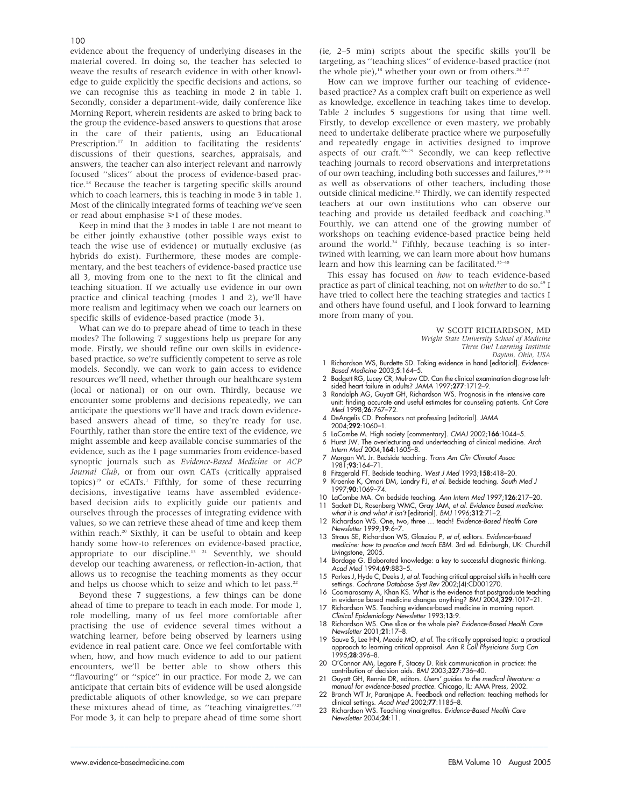evidence about the frequency of underlying diseases in the material covered. In doing so, the teacher has selected to weave the results of research evidence in with other knowledge to guide explicitly the specific decisions and actions, so we can recognise this as teaching in mode 2 in table 1. Secondly, consider a department-wide, daily conference like Morning Report, wherein residents are asked to bring back to the group the evidence-based answers to questions that arose in the care of their patients, using an Educational Prescription.<sup>17</sup> In addition to facilitating the residents' discussions of their questions, searches, appraisals, and answers, the teacher can also interject relevant and narrowly focused ''slices'' about the process of evidence-based practice.18 Because the teacher is targeting specific skills around which to coach learners, this is teaching in mode 3 in table 1. Most of the clinically integrated forms of teaching we've seen or read about emphasise  $\geq 1$  of these modes.

Keep in mind that the 3 modes in table 1 are not meant to be either jointly exhaustive (other possible ways exist to teach the wise use of evidence) or mutually exclusive (as hybrids do exist). Furthermore, these modes are complementary, and the best teachers of evidence-based practice use all 3, moving from one to the next to fit the clinical and teaching situation. If we actually use evidence in our own practice and clinical teaching (modes 1 and 2), we'll have more realism and legitimacy when we coach our learners on specific skills of evidence-based practice (mode 3).

What can we do to prepare ahead of time to teach in these modes? The following 7 suggestions help us prepare for any mode. Firstly, we should refine our own skills in evidencebased practice, so we're sufficiently competent to serve as role models. Secondly, we can work to gain access to evidence resources we'll need, whether through our healthcare system (local or national) or on our own. Thirdly, because we encounter some problems and decisions repeatedly, we can anticipate the questions we'll have and track down evidencebased answers ahead of time, so they're ready for use. Fourthly, rather than store the entire text of the evidence, we might assemble and keep available concise summaries of the evidence, such as the 1 page summaries from evidence-based synoptic journals such as Evidence-Based Medicine or ACP Journal Club, or from our own CATs (critically appraised topics)<sup>19</sup> or eCATs.<sup>1</sup> Fifthly, for some of these recurring decisions, investigative teams have assembled evidencebased decision aids to explicitly guide our patients and ourselves through the processes of integrating evidence with values, so we can retrieve these ahead of time and keep them within reach.<sup>20</sup> Sixthly, it can be useful to obtain and keep handy some how-to references on evidence-based practice, appropriate to our discipline.<sup>13</sup> <sup>21</sup> Seventhly, we should develop our teaching awareness, or reflection-in-action, that allows us to recognise the teaching moments as they occur and helps us choose which to seize and which to let pass.<sup>22</sup>

Beyond these 7 suggestions, a few things can be done ahead of time to prepare to teach in each mode. For mode 1, role modelling, many of us feel more comfortable after practising the use of evidence several times without a watching learner, before being observed by learners using evidence in real patient care. Once we feel comfortable with when, how, and how much evidence to add to our patient encounters, we'll be better able to show others this "flavouring" or "spice" in our practice. For mode 2, we can anticipate that certain bits of evidence will be used alongside predictable aliquots of other knowledge, so we can prepare these mixtures ahead of time, as ''teaching vinaigrettes.''23 For mode 3, it can help to prepare ahead of time some short (ie, 2–5 min) scripts about the specific skills you'll be targeting, as ''teaching slices'' of evidence-based practice (not the whole pie),<sup>18</sup> whether your own or from others.<sup>24–27</sup>

How can we improve further our teaching of evidencebased practice? As a complex craft built on experience as well as knowledge, excellence in teaching takes time to develop. Table 2 includes 5 suggestions for using that time well. Firstly, to develop excellence or even mastery, we probably need to undertake deliberate practice where we purposefully and repeatedly engage in activities designed to improve aspects of our craft.<sup>28–29</sup> Secondly, we can keep reflective teaching journals to record observations and interpretations of our own teaching, including both successes and failures,<sup>30-31</sup> as well as observations of other teachers, including those outside clinical medicine.<sup>32</sup> Thirdly, we can identify respected teachers at our own institutions who can observe our teaching and provide us detailed feedback and coaching.<sup>33</sup> Fourthly, we can attend one of the growing number of workshops on teaching evidence-based practice being held around the world.<sup>34</sup> Fifthly, because teaching is so intertwined with learning, we can learn more about how humans learn and how this learning can be facilitated.<sup>35-48</sup>

This essay has focused on how to teach evidence-based practice as part of clinical teaching, not on whether to do so.<sup>49</sup> I have tried to collect here the teaching strategies and tactics I and others have found useful, and I look forward to learning more from many of you.

> W SCOTT RICHARDSON, MD Wright State University School of Medicine Three Owl Learning Institute

Dayton, Ohio, USA

- 1 Richardson WS, Burdette SD. Taking evidence in hand [editorial]. Evidence-Based Medicine 2003;5:164–5.
- 2 Badgett RG, Lucey CR, Mulrow CD. Can the clinical examination diagnose leftsided heart failure in adults? JAMA 1997;277:1712–9.
- 3 Randolph AG, Guyatt GH, Richardson WS. Prognosis in the intensive care unit: finding accurate and useful estimates for counseling patients. Crit Care Med 1998;26:767–72.
- 4 DeAngelis CD. Professors not professing [editorial]. JAMA 2004;292:1060–1.
- 5 LaCombe M. High society [commentary]. CMAJ 2002;166:1044–5.
- 6 Hurst JW. The overlecturing and underteaching of clinical medicine. Arch Intern Med 2004;164:1605–8.
- 7 Morgan WL Jr. Bedside teaching. Trans Am Clin Climatol Assoc 1981;93:164–71.
- 8 Fitzgerald FT. Bedside teaching. West J Med 1993;158:418–20.
- Kroenke K, Omori DM, Landry FJ, et al. Bedside teaching. South Med J 1997;90:1069–74.
- 10 LaCombe MA. On bedside teaching. Ann Intern Med 1997;126:217–20.
- Sackett DL, Rosenberg WMC, Gray JAM, et al. Evidence based medicine: what it is and what it isn't [editorial]. BMJ 1996;312:71–2.
- 12 Richardson WS. One, two, three … teach! Evidence-Based Health Care Newsletter 1999;19:6–7.
- 13 Straus SE, Richardson WS, Glasziou P, et al, editors. Evidence-based medicine: how to practice and teach EBM. 3rd ed. Edinburgh, UK: Churchill Livingstone, 2005.
- 14 Bordage G. Elaborated knowledge: a key to successful diagnostic thinking. Acad Med 1994;69:883-5.
- 15 Parkes J, Hyde C, Deeks J, et al. Teaching critical appraisal skills in health care settings. Cochrane Database Syst Rev 2002;(4):CD001270. 16 Coomarasamy A, Khan KS. What is the evidence that postgraduate teaching
- in evidence based medicine changes anything? BMJ 2004;329:1017-21.
- 17 Richardson WS. Teaching evidence-based medicine in morning report. Clinical Epidemiology Newsletter 1993;13:9.
- 18 Richardson WS. One slice or the whole pie? Evidence-Based Health Care Newsletter 2001;21:17–8.
- 19 Sauve S, Lee HN, Meade MO, et al. The critically appraised topic: a practical approach to learning critical appraisal. Ann R Coll Physicians Surg Can<br>1995;**28**:396–8.
- 20 O'Connor AM, Legare F, Stacey D. Risk communication in practice: the contribution of decision aids. BMJ 2003;327:736–40.
- 21 Guyatt GH, Rennie DR, editors. Users' guides to the medical literature: a<br>manual for evidence-based practice. Chicago, IL: AMA Press, 2002.<br>22 Branch WT Jr, Paranjape A. Feedback and reflection: teaching methods for<br>cli
- 
- 23 Richardson WS. Teaching vinaigrettes. Evidence-Based Health Care Newsletter 2004;24:11.

 $\mathcal{L} = \{ \mathcal{L} = \{ \mathcal{L} = \{ \mathcal{L} = \{ \mathcal{L} = \{ \mathcal{L} = \{ \mathcal{L} = \{ \mathcal{L} = \{ \mathcal{L} = \{ \mathcal{L} = \{ \mathcal{L} = \{ \mathcal{L} = \{ \mathcal{L} = \{ \mathcal{L} = \{ \mathcal{L} = \{ \mathcal{L} = \{ \mathcal{L} = \{ \mathcal{L} = \{ \mathcal{L} = \{ \mathcal{L} = \{ \mathcal{L} = \{ \mathcal{L} = \{ \mathcal{L} = \{ \mathcal{L} = \{ \mathcal{$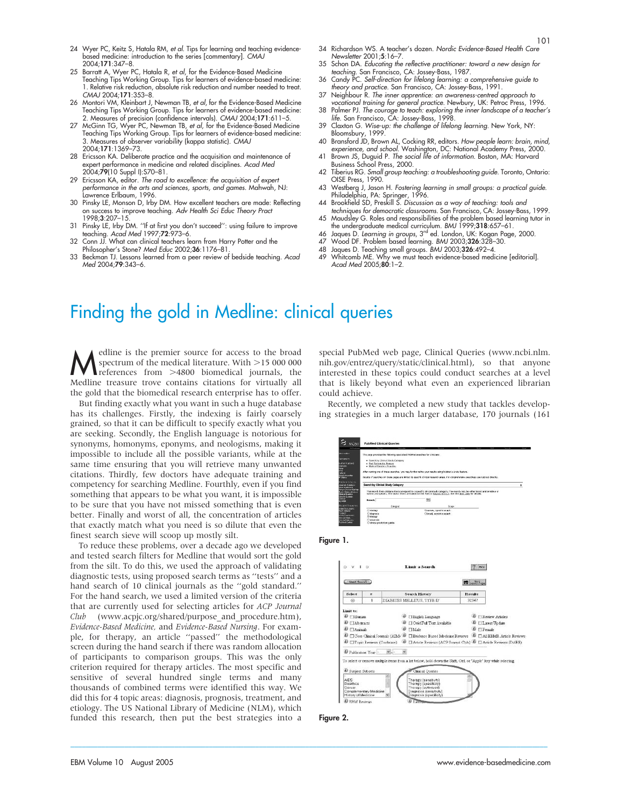- 24 Wyer PC, Keitz S, Hatala RM, et al. Tips for learning and teaching evidencebased medicine: introduction to the series [commentary]. CMAJ 2004;171:347–8.
- 25 Barratt A, Wyer PC, Hatala R, et al, for the Evidence-Based Medicine Teaching Tips Working Group. Tips for learners of evidence-based medicine: 1. Relative risk reduction, absolute risk reduction and number needed to treat. CMAJ 2004;171:353–8.
- 26 Montori VM, Kleinbart J, Newman TB, et al, for the Evidence-Based Medicine Teaching Tips Working Group. Tips for learners of evidence-based medicine: 2. Measures of precision (confidence intervals). CMAJ 2004;171:611–5.
- 27 McGinn TG, Wyer PC, Newman TB, et al, for the Evidence-Based Medicine Teaching Tips Working Group. Tips for learners of evidence-based medicine: 3. Measures of observer variability (kappa statistic). CMAJ 2004;171:1369–73.
- 28 Ericsson KA. Deliberate practice and the acquisition and maintenance of expert performance in medicine and related disciplines. Acad Med 2004;79(10 Suppl I):S70–81.
- 29 Ericsson KA, editor. The road to excellence: the acquisition of expert performance in the arts and sciences, sports, and games. Mahwah, NJ: Lawrence Erlbaum, 1996.
- 30 Pinsky LE, Monson D, Irby DM. How excellent teachers are made: Reflecting on success to improve teaching. Adv Health Sci Educ Theory Pract 1998;3:207–15.
- 31 Pinsky LE, Irby DM. ''If at first you don't succeed'': using failure to improve teaching. Acad Med 1997;72:973–6.
- 32 Conn JJ. What can clinical teachers learn from Harry Potter and the Philosopher's Stone? Med Educ 2002;36:1176-81.
- 33 Beckman TJ. Lessons learned from a peer review of bedside teaching. Acad Med 2004;79:343–6.
- 34 Richardson WS. A teacher's dozen. Nordic Evidence-Based Health Care Newsletter 2001;5:16–7.
- 35 Schon DA. Educating the reflective practitioner: toward a new design for teaching. San Francisco, CA: Jossey-Bass, 1987. 36 Candy PC. Self-direction for lifelong learning: a comprehensive guide to
- theory and practice. San Francisco, CA: Jossey-Bass, 1991.
- 37 Neighbour R. The inner apprentice: an awareness-centred approach to
- vocational training for general practice. Newbury, UK: Petroc Press, 1996.<br>38 Palmer PJ. The courage to teach: exploring the inner landscape of a teacher's<br>life. San Francisco, CA: Jossey-Bass, 1998.<br>39 Claxton G. Wise-up:
- Bloomsbury, 1999.
- 40 Bransford JD, Brown AL, Cocking RR, editors. How people learn: brain, mind, experience, and school. Washington, DC: National Academy Press, 2000.
- 41 Brown JS, Duguid P. The social life of information. Boston, MA: Harvard Business School Press, 2000.
- 42 Tiberius RG. Small group teaching: a troubleshooting guide. Toronto, Ontario: OISE Press, 1990.
- 43 Westberg J, Jason H. Fostering learning in small groups: a practical guide. Philadelphia, PA: Springer, 1996.
- 44 Brookfield SD, Preskill S. Discussion as a way of teaching: tools and techniques for democratic classrooms. San Francisco, CA: Jossey-Bass, 1999. 45 Maudsley G. Roles and responsibilities of the problem based learning tutor in
- the undergraduate medical curriculum. BMJ 1999;318:657–61.
- 46 Jaques D. Learning in groups, 3<sup>rd</sup> ed. London, UK: Kogan Page, 2000.<br>47 Wood DE Problem based learning, *BMJ* 2003:326:328-30 Wood DF. Problem based learning. BMJ 2003;326:328-30.
- 
- 48 Jaques D. Teaching small groups. BMJ 2003;326:492-4.<br>49 Whitcomb ME. Why we must teach evidence-based medi Whitcomb ME. Why we must teach evidence-based medicine [editorial]. Acad Med 2005;80:1-2.

## Finding the gold in Medline: clinical queries

 $\mathbf{M}$  edline is the premier source for access to the broad<br>references from  $>4800$  biomedical journals, the<br>Medline tracure trave contains citations for virtually all spectrum of the medical literature. With  $>$ 15 000 000 references from >4800 biomedical journals, the Medline treasure trove contains citations for virtually all the gold that the biomedical research enterprise has to offer.

But finding exactly what you want in such a huge database has its challenges. Firstly, the indexing is fairly coarsely grained, so that it can be difficult to specify exactly what you are seeking. Secondly, the English language is notorious for synonyms, homonyms, eponyms, and neologisms, making it impossible to include all the possible variants, while at the same time ensuring that you will retrieve many unwanted citations. Thirdly, few doctors have adequate training and competency for searching Medline. Fourthly, even if you find something that appears to be what you want, it is impossible to be sure that you have not missed something that is even better. Finally and worst of all, the concentration of articles that exactly match what you need is so dilute that even the finest search sieve will scoop up mostly silt.

To reduce these problems, over a decade ago we developed and tested search filters for Medline that would sort the gold from the silt. To do this, we used the approach of validating diagnostic tests, using proposed search terms as ''tests'' and a hand search of 10 clinical journals as the ''gold standard.'' For the hand search, we used a limited version of the criteria that are currently used for selecting articles for ACP Journal Club (www.acpjc.org/shared/purpose\_and\_procedure.htm), Evidence-Based Medicine, and Evidence-Based Nursing. For example, for therapy, an article ''passed'' the methodological screen during the hand search if there was random allocation of participants to comparison groups. This was the only criterion required for therapy articles. The most specific and sensitive of several hundred single terms and many thousands of combined terms were identified this way. We did this for 4 topic areas: diagnosis, prognosis, treatment, and etiology. The US National Library of Medicine (NLM), which funded this research, then put the best strategies into a special PubMed web page, Clinical Queries (www.ncbi.nlm. nih.gov/entrez/query/static/clinical.html), so that anyone interested in these topics could conduct searches at a level that is likely beyond what even an experienced librarian could achieve.

Recently, we completed a new study that tackles developing strategies in a much larger database, 170 journals (161



#### Figure 1.





 $\_$  , and the state of the state of the state of the state of the state of the state of the state of the state of the state of the state of the state of the state of the state of the state of the state of the state of the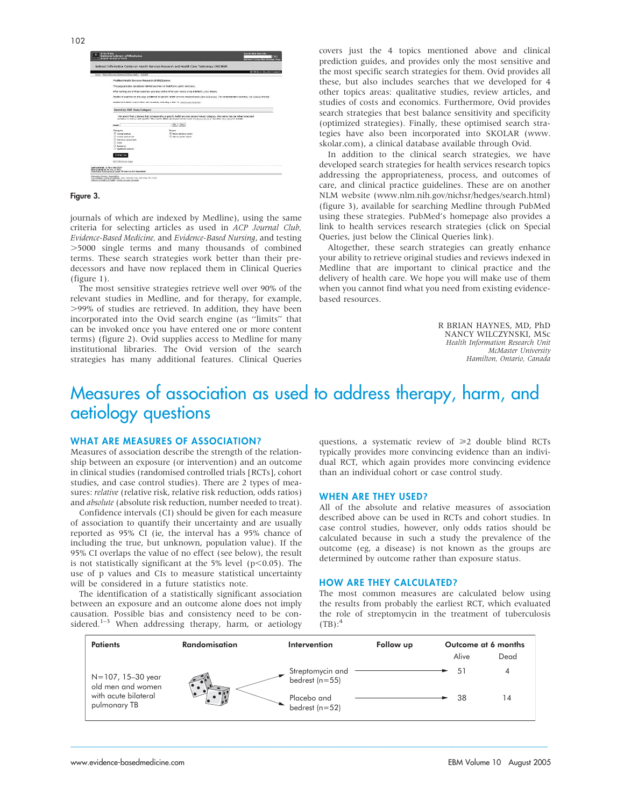102



#### Figure 3.

journals of which are indexed by Medline), using the same criteria for selecting articles as used in ACP Journal Club, Evidence-Based Medicine, and Evidence-Based Nursing, and testing .5000 single terms and many thousands of combined terms. These search strategies work better than their predecessors and have now replaced them in Clinical Queries (figure 1).

The most sensitive strategies retrieve well over 90% of the relevant studies in Medline, and for therapy, for example, .99% of studies are retrieved. In addition, they have been incorporated into the Ovid search engine (as ''limits'' that can be invoked once you have entered one or more content terms) (figure 2). Ovid supplies access to Medline for many institutional libraries. The Ovid version of the search strategies has many additional features. Clinical Queries covers just the 4 topics mentioned above and clinical prediction guides, and provides only the most sensitive and the most specific search strategies for them. Ovid provides all these, but also includes searches that we developed for 4 other topics areas: qualitative studies, review articles, and studies of costs and economics. Furthermore, Ovid provides search strategies that best balance sensitivity and specificity (optimized strategies). Finally, these optimised search strategies have also been incorporated into SKOLAR (www. skolar.com), a clinical database available through Ovid.

In addition to the clinical search strategies, we have developed search strategies for health services research topics addressing the appropriateness, process, and outcomes of care, and clinical practice guidelines. These are on another NLM website (www.nlm.nih.gov/nichsr/hedges/search.html) (figure 3), available for searching Medline through PubMed using these strategies. PubMed's homepage also provides a link to health services research strategies (click on Special Queries, just below the Clinical Queries link).

Altogether, these search strategies can greatly enhance your ability to retrieve original studies and reviews indexed in Medline that are important to clinical practice and the delivery of health care. We hope you will make use of them when you cannot find what you need from existing evidencebased resources.

> R BRIAN HAYNES, MD, PhD NANCY WILCZYNSKI, MSc Health Information Research Unit McMaster University Hamilton, Ontario, Canada

### Measures of association as used to address therapy, harm, and aetiology questions

#### WHAT ARE MEASURES OF ASSOCIATION?

Measures of association describe the strength of the relationship between an exposure (or intervention) and an outcome in clinical studies (randomised controlled trials [RCTs], cohort studies, and case control studies). There are 2 types of measures: relative (relative risk, relative risk reduction, odds ratios) and absolute (absolute risk reduction, number needed to treat).

Confidence intervals (CI) should be given for each measure of association to quantify their uncertainty and are usually reported as 95% CI (ie, the interval has a 95% chance of including the true, but unknown, population value). If the 95% CI overlaps the value of no effect (see below), the result is not statistically significant at the 5% level ( $p$ <0.05). The use of p values and CIs to measure statistical uncertainty will be considered in a future statistics note.

The identification of a statistically significant association between an exposure and an outcome alone does not imply causation. Possible bias and consistency need to be considered. $1-3$  When addressing therapy, harm, or aetiology questions, a systematic review of  $\geq 2$  double blind RCTs typically provides more convincing evidence than an individual RCT, which again provides more convincing evidence than an individual cohort or case control study.

#### WHEN ARE THEY USED?

All of the absolute and relative measures of association described above can be used in RCTs and cohort studies. In case control studies, however, only odds ratios should be calculated because in such a study the prevalence of the outcome (eg, a disease) is not known as the groups are determined by outcome rather than exposure status.

#### HOW ARE THEY CALCULATED?

The most common measures are calculated below using the results from probably the earliest RCT, which evaluated the role of streptomycin in the treatment of tuberculosis  $(TB):<sup>4</sup>$ 



 $\mathcal{L} = \{ \mathcal{L} = \{ \mathcal{L} = \{ \mathcal{L} = \{ \mathcal{L} = \{ \mathcal{L} = \{ \mathcal{L} = \{ \mathcal{L} = \{ \mathcal{L} = \{ \mathcal{L} = \{ \mathcal{L} = \{ \mathcal{L} = \{ \mathcal{L} = \{ \mathcal{L} = \{ \mathcal{L} = \{ \mathcal{L} = \{ \mathcal{L} = \{ \mathcal{L} = \{ \mathcal{L} = \{ \mathcal{L} = \{ \mathcal{L} = \{ \mathcal{L} = \{ \mathcal{L} = \{ \mathcal{L} = \{ \mathcal{$